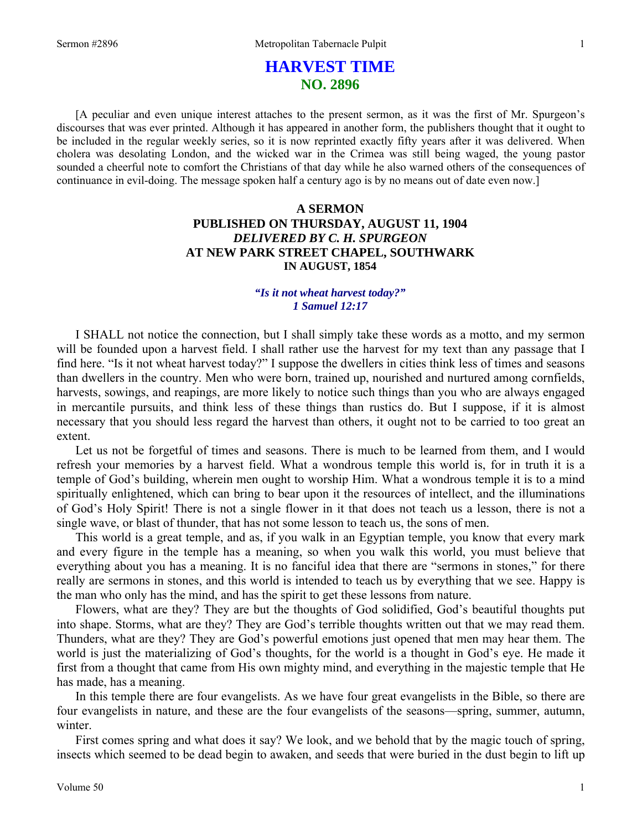# **HARVEST TIME NO. 2896**

[A peculiar and even unique interest attaches to the present sermon, as it was the first of Mr. Spurgeon's discourses that was ever printed. Although it has appeared in another form, the publishers thought that it ought to be included in the regular weekly series, so it is now reprinted exactly fifty years after it was delivered. When cholera was desolating London, and the wicked war in the Crimea was still being waged, the young pastor sounded a cheerful note to comfort the Christians of that day while he also warned others of the consequences of continuance in evil-doing. The message spoken half a century ago is by no means out of date even now.]

## **A SERMON PUBLISHED ON THURSDAY, AUGUST 11, 1904**  *DELIVERED BY C. H. SPURGEON*  **AT NEW PARK STREET CHAPEL, SOUTHWARK IN AUGUST, 1854**

### *"Is it not wheat harvest today?" 1 Samuel 12:17*

I SHALL not notice the connection, but I shall simply take these words as a motto, and my sermon will be founded upon a harvest field. I shall rather use the harvest for my text than any passage that I find here. "Is it not wheat harvest today?" I suppose the dwellers in cities think less of times and seasons than dwellers in the country. Men who were born, trained up, nourished and nurtured among cornfields, harvests, sowings, and reapings, are more likely to notice such things than you who are always engaged in mercantile pursuits, and think less of these things than rustics do. But I suppose, if it is almost necessary that you should less regard the harvest than others, it ought not to be carried to too great an extent.

Let us not be forgetful of times and seasons. There is much to be learned from them, and I would refresh your memories by a harvest field. What a wondrous temple this world is, for in truth it is a temple of God's building, wherein men ought to worship Him. What a wondrous temple it is to a mind spiritually enlightened, which can bring to bear upon it the resources of intellect, and the illuminations of God's Holy Spirit! There is not a single flower in it that does not teach us a lesson, there is not a single wave, or blast of thunder, that has not some lesson to teach us, the sons of men.

This world is a great temple, and as, if you walk in an Egyptian temple, you know that every mark and every figure in the temple has a meaning, so when you walk this world, you must believe that everything about you has a meaning. It is no fanciful idea that there are "sermons in stones," for there really are sermons in stones, and this world is intended to teach us by everything that we see. Happy is the man who only has the mind, and has the spirit to get these lessons from nature.

Flowers, what are they? They are but the thoughts of God solidified, God's beautiful thoughts put into shape. Storms, what are they? They are God's terrible thoughts written out that we may read them. Thunders, what are they? They are God's powerful emotions just opened that men may hear them. The world is just the materializing of God's thoughts, for the world is a thought in God's eye. He made it first from a thought that came from His own mighty mind, and everything in the majestic temple that He has made, has a meaning.

In this temple there are four evangelists. As we have four great evangelists in the Bible, so there are four evangelists in nature, and these are the four evangelists of the seasons—spring, summer, autumn, winter.

First comes spring and what does it say? We look, and we behold that by the magic touch of spring, insects which seemed to be dead begin to awaken, and seeds that were buried in the dust begin to lift up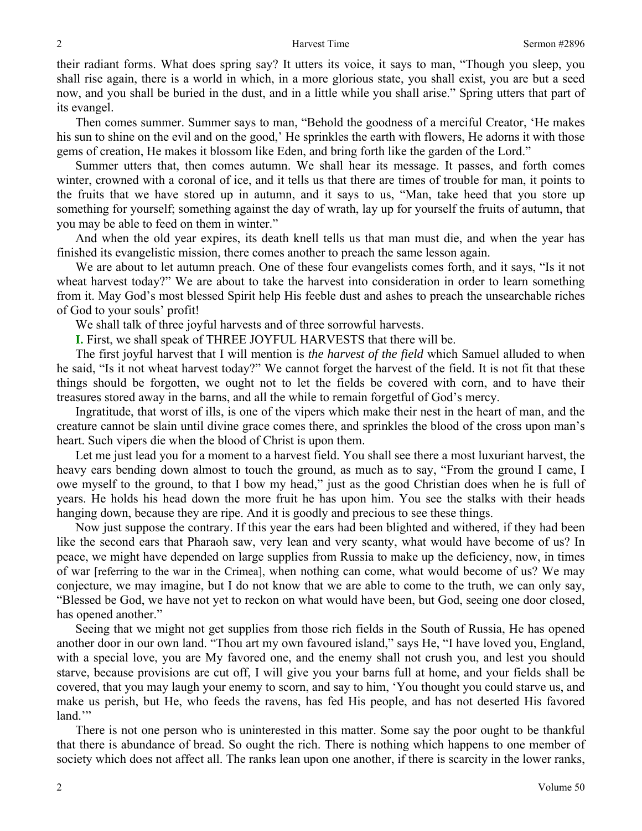their radiant forms. What does spring say? It utters its voice, it says to man, "Though you sleep, you shall rise again, there is a world in which, in a more glorious state, you shall exist, you are but a seed now, and you shall be buried in the dust, and in a little while you shall arise." Spring utters that part of its evangel.

Then comes summer. Summer says to man, "Behold the goodness of a merciful Creator, 'He makes his sun to shine on the evil and on the good,' He sprinkles the earth with flowers, He adorns it with those gems of creation, He makes it blossom like Eden, and bring forth like the garden of the Lord."

Summer utters that, then comes autumn. We shall hear its message. It passes, and forth comes winter, crowned with a coronal of ice, and it tells us that there are times of trouble for man, it points to the fruits that we have stored up in autumn, and it says to us, "Man, take heed that you store up something for yourself; something against the day of wrath, lay up for yourself the fruits of autumn, that you may be able to feed on them in winter."

And when the old year expires, its death knell tells us that man must die, and when the year has finished its evangelistic mission, there comes another to preach the same lesson again.

We are about to let autumn preach. One of these four evangelists comes forth, and it says, "Is it not wheat harvest today?" We are about to take the harvest into consideration in order to learn something from it. May God's most blessed Spirit help His feeble dust and ashes to preach the unsearchable riches of God to your souls' profit!

We shall talk of three joyful harvests and of three sorrowful harvests.

**I.** First, we shall speak of THREE JOYFUL HARVESTS that there will be.

The first joyful harvest that I will mention is *the harvest of the field* which Samuel alluded to when he said, "Is it not wheat harvest today?" We cannot forget the harvest of the field. It is not fit that these things should be forgotten, we ought not to let the fields be covered with corn, and to have their treasures stored away in the barns, and all the while to remain forgetful of God's mercy.

Ingratitude, that worst of ills, is one of the vipers which make their nest in the heart of man, and the creature cannot be slain until divine grace comes there, and sprinkles the blood of the cross upon man's heart. Such vipers die when the blood of Christ is upon them.

Let me just lead you for a moment to a harvest field. You shall see there a most luxuriant harvest, the heavy ears bending down almost to touch the ground, as much as to say, "From the ground I came, I owe myself to the ground, to that I bow my head," just as the good Christian does when he is full of years. He holds his head down the more fruit he has upon him. You see the stalks with their heads hanging down, because they are ripe. And it is goodly and precious to see these things.

Now just suppose the contrary. If this year the ears had been blighted and withered, if they had been like the second ears that Pharaoh saw, very lean and very scanty, what would have become of us? In peace, we might have depended on large supplies from Russia to make up the deficiency, now, in times of war [referring to the war in the Crimea], when nothing can come, what would become of us? We may conjecture, we may imagine, but I do not know that we are able to come to the truth, we can only say, "Blessed be God, we have not yet to reckon on what would have been, but God, seeing one door closed, has opened another."

Seeing that we might not get supplies from those rich fields in the South of Russia, He has opened another door in our own land. "Thou art my own favoured island," says He, "I have loved you, England, with a special love, you are My favored one, and the enemy shall not crush you, and lest you should starve, because provisions are cut off, I will give you your barns full at home, and your fields shall be covered, that you may laugh your enemy to scorn, and say to him, 'You thought you could starve us, and make us perish, but He, who feeds the ravens, has fed His people, and has not deserted His favored land."

There is not one person who is uninterested in this matter. Some say the poor ought to be thankful that there is abundance of bread. So ought the rich. There is nothing which happens to one member of society which does not affect all. The ranks lean upon one another, if there is scarcity in the lower ranks,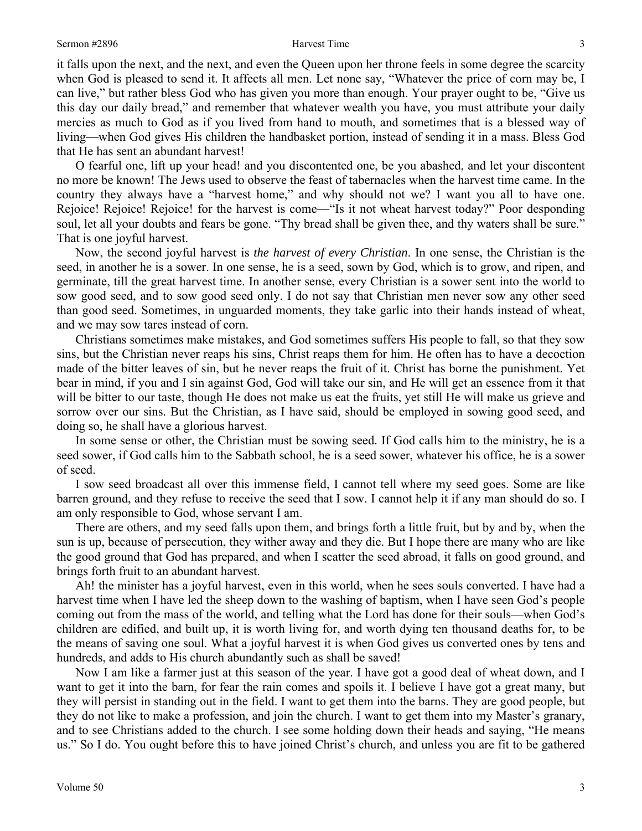it falls upon the next, and the next, and even the Queen upon her throne feels in some degree the scarcity when God is pleased to send it. It affects all men. Let none say, "Whatever the price of corn may be, I can live," but rather bless God who has given you more than enough. Your prayer ought to be, "Give us this day our daily bread," and remember that whatever wealth you have, you must attribute your daily mercies as much to God as if you lived from hand to mouth, and sometimes that is a blessed way of living—when God gives His children the handbasket portion, instead of sending it in a mass. Bless God that He has sent an abundant harvest!

O fearful one, lift up your head! and you discontented one, be you abashed, and let your discontent no more be known! The Jews used to observe the feast of tabernacles when the harvest time came. In the country they always have a "harvest home," and why should not we? I want you all to have one. Rejoice! Rejoice! Rejoice! for the harvest is come—"Is it not wheat harvest today?" Poor desponding soul, let all your doubts and fears be gone. "Thy bread shall be given thee, and thy waters shall be sure." That is one joyful harvest.

Now, the second joyful harvest is *the harvest of every Christian*. In one sense, the Christian is the seed, in another he is a sower. In one sense, he is a seed, sown by God, which is to grow, and ripen, and germinate, till the great harvest time. In another sense, every Christian is a sower sent into the world to sow good seed, and to sow good seed only. I do not say that Christian men never sow any other seed than good seed. Sometimes, in unguarded moments, they take garlic into their hands instead of wheat, and we may sow tares instead of corn.

Christians sometimes make mistakes, and God sometimes suffers His people to fall, so that they sow sins, but the Christian never reaps his sins, Christ reaps them for him. He often has to have a decoction made of the bitter leaves of sin, but he never reaps the fruit of it. Christ has borne the punishment. Yet bear in mind, if you and I sin against God, God will take our sin, and He will get an essence from it that will be bitter to our taste, though He does not make us eat the fruits, yet still He will make us grieve and sorrow over our sins. But the Christian, as I have said, should be employed in sowing good seed, and doing so, he shall have a glorious harvest.

In some sense or other, the Christian must be sowing seed. If God calls him to the ministry, he is a seed sower, if God calls him to the Sabbath school, he is a seed sower, whatever his office, he is a sower of seed.

I sow seed broadcast all over this immense field, I cannot tell where my seed goes. Some are like barren ground, and they refuse to receive the seed that I sow. I cannot help it if any man should do so. I am only responsible to God, whose servant I am.

There are others, and my seed falls upon them, and brings forth a little fruit, but by and by, when the sun is up, because of persecution, they wither away and they die. But I hope there are many who are like the good ground that God has prepared, and when I scatter the seed abroad, it falls on good ground, and brings forth fruit to an abundant harvest.

Ah! the minister has a joyful harvest, even in this world, when he sees souls converted. I have had a harvest time when I have led the sheep down to the washing of baptism, when I have seen God's people coming out from the mass of the world, and telling what the Lord has done for their souls—when God's children are edified, and built up, it is worth living for, and worth dying ten thousand deaths for, to be the means of saving one soul. What a joyful harvest it is when God gives us converted ones by tens and hundreds, and adds to His church abundantly such as shall be saved!

Now I am like a farmer just at this season of the year. I have got a good deal of wheat down, and I want to get it into the barn, for fear the rain comes and spoils it. I believe I have got a great many, but they will persist in standing out in the field. I want to get them into the barns. They are good people, but they do not like to make a profession, and join the church. I want to get them into my Master's granary, and to see Christians added to the church. I see some holding down their heads and saying, "He means us." So I do. You ought before this to have joined Christ's church, and unless you are fit to be gathered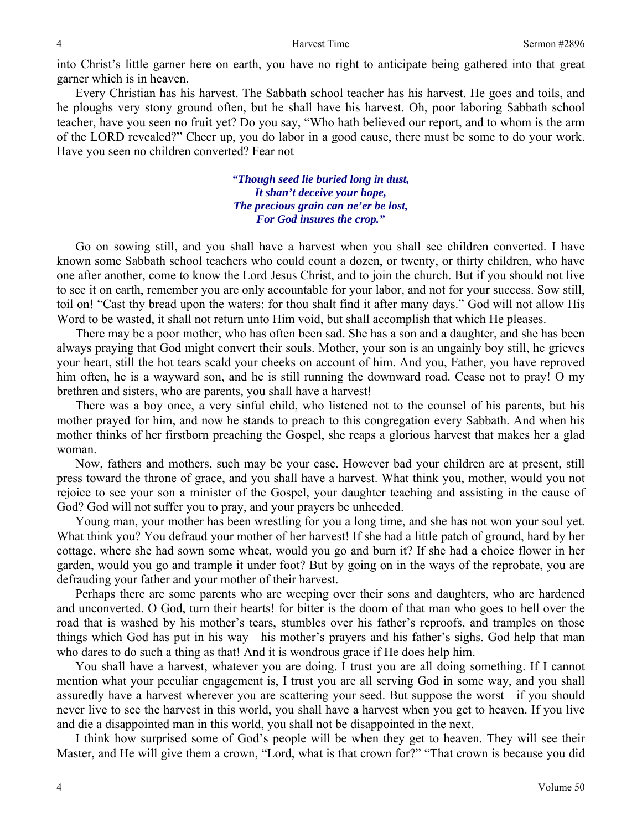into Christ's little garner here on earth, you have no right to anticipate being gathered into that great garner which is in heaven.

Every Christian has his harvest. The Sabbath school teacher has his harvest. He goes and toils, and he ploughs very stony ground often, but he shall have his harvest. Oh, poor laboring Sabbath school teacher, have you seen no fruit yet? Do you say, "Who hath believed our report, and to whom is the arm of the LORD revealed?" Cheer up, you do labor in a good cause, there must be some to do your work. Have you seen no children converted? Fear not—

> *"Though seed lie buried long in dust, It shan't deceive your hope, The precious grain can ne'er be lost, For God insures the crop."*

Go on sowing still, and you shall have a harvest when you shall see children converted. I have known some Sabbath school teachers who could count a dozen, or twenty, or thirty children, who have one after another, come to know the Lord Jesus Christ, and to join the church. But if you should not live to see it on earth, remember you are only accountable for your labor, and not for your success. Sow still, toil on! "Cast thy bread upon the waters: for thou shalt find it after many days." God will not allow His Word to be wasted, it shall not return unto Him void, but shall accomplish that which He pleases.

There may be a poor mother, who has often been sad. She has a son and a daughter, and she has been always praying that God might convert their souls. Mother, your son is an ungainly boy still, he grieves your heart, still the hot tears scald your cheeks on account of him. And you, Father, you have reproved him often, he is a wayward son, and he is still running the downward road. Cease not to pray! O my brethren and sisters, who are parents, you shall have a harvest!

There was a boy once, a very sinful child, who listened not to the counsel of his parents, but his mother prayed for him, and now he stands to preach to this congregation every Sabbath. And when his mother thinks of her firstborn preaching the Gospel, she reaps a glorious harvest that makes her a glad woman.

Now, fathers and mothers, such may be your case. However bad your children are at present, still press toward the throne of grace, and you shall have a harvest. What think you, mother, would you not rejoice to see your son a minister of the Gospel, your daughter teaching and assisting in the cause of God? God will not suffer you to pray, and your prayers be unheeded.

Young man, your mother has been wrestling for you a long time, and she has not won your soul yet. What think you? You defraud your mother of her harvest! If she had a little patch of ground, hard by her cottage, where she had sown some wheat, would you go and burn it? If she had a choice flower in her garden, would you go and trample it under foot? But by going on in the ways of the reprobate, you are defrauding your father and your mother of their harvest.

Perhaps there are some parents who are weeping over their sons and daughters, who are hardened and unconverted. O God, turn their hearts! for bitter is the doom of that man who goes to hell over the road that is washed by his mother's tears, stumbles over his father's reproofs, and tramples on those things which God has put in his way—his mother's prayers and his father's sighs. God help that man who dares to do such a thing as that! And it is wondrous grace if He does help him.

You shall have a harvest, whatever you are doing. I trust you are all doing something. If I cannot mention what your peculiar engagement is, I trust you are all serving God in some way, and you shall assuredly have a harvest wherever you are scattering your seed. But suppose the worst—if you should never live to see the harvest in this world, you shall have a harvest when you get to heaven. If you live and die a disappointed man in this world, you shall not be disappointed in the next.

I think how surprised some of God's people will be when they get to heaven. They will see their Master, and He will give them a crown, "Lord, what is that crown for?" "That crown is because you did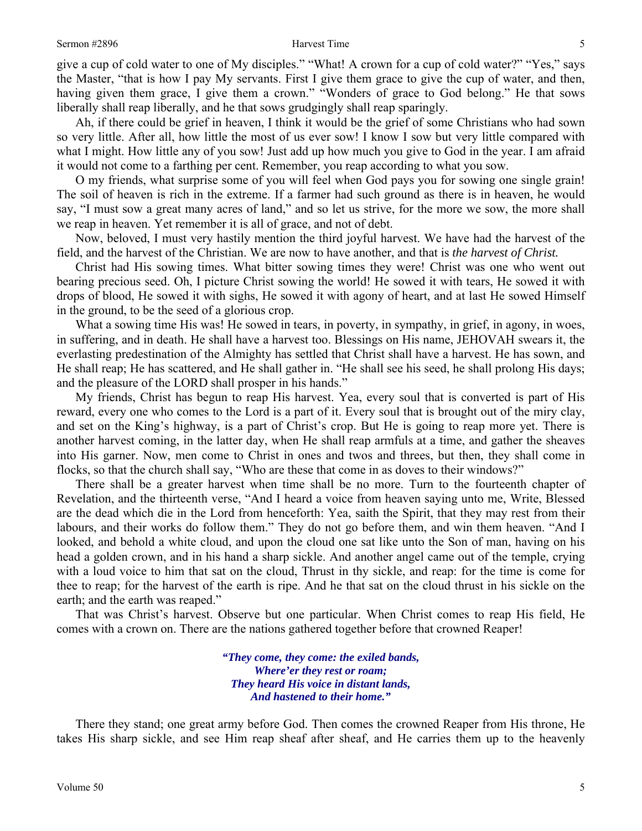give a cup of cold water to one of My disciples." "What! A crown for a cup of cold water?" "Yes," says the Master, "that is how I pay My servants. First I give them grace to give the cup of water, and then, having given them grace, I give them a crown." "Wonders of grace to God belong." He that sows liberally shall reap liberally, and he that sows grudgingly shall reap sparingly.

Ah, if there could be grief in heaven, I think it would be the grief of some Christians who had sown so very little. After all, how little the most of us ever sow! I know I sow but very little compared with what I might. How little any of you sow! Just add up how much you give to God in the year. I am afraid it would not come to a farthing per cent. Remember, you reap according to what you sow.

O my friends, what surprise some of you will feel when God pays you for sowing one single grain! The soil of heaven is rich in the extreme. If a farmer had such ground as there is in heaven, he would say, "I must sow a great many acres of land," and so let us strive, for the more we sow, the more shall we reap in heaven. Yet remember it is all of grace, and not of debt.

Now, beloved, I must very hastily mention the third joyful harvest. We have had the harvest of the field, and the harvest of the Christian. We are now to have another, and that is *the harvest of Christ.* 

Christ had His sowing times. What bitter sowing times they were! Christ was one who went out bearing precious seed. Oh, I picture Christ sowing the world! He sowed it with tears, He sowed it with drops of blood, He sowed it with sighs, He sowed it with agony of heart, and at last He sowed Himself in the ground, to be the seed of a glorious crop.

What a sowing time His was! He sowed in tears, in poverty, in sympathy, in grief, in agony, in woes, in suffering, and in death. He shall have a harvest too. Blessings on His name, JEHOVAH swears it, the everlasting predestination of the Almighty has settled that Christ shall have a harvest. He has sown, and He shall reap; He has scattered, and He shall gather in. "He shall see his seed, he shall prolong His days; and the pleasure of the LORD shall prosper in his hands."

My friends, Christ has begun to reap His harvest. Yea, every soul that is converted is part of His reward, every one who comes to the Lord is a part of it. Every soul that is brought out of the miry clay, and set on the King's highway, is a part of Christ's crop. But He is going to reap more yet. There is another harvest coming, in the latter day, when He shall reap armfuls at a time, and gather the sheaves into His garner. Now, men come to Christ in ones and twos and threes, but then, they shall come in flocks, so that the church shall say, "Who are these that come in as doves to their windows?"

There shall be a greater harvest when time shall be no more. Turn to the fourteenth chapter of Revelation, and the thirteenth verse, "And I heard a voice from heaven saying unto me, Write, Blessed are the dead which die in the Lord from henceforth: Yea, saith the Spirit, that they may rest from their labours, and their works do follow them." They do not go before them, and win them heaven. "And I looked, and behold a white cloud, and upon the cloud one sat like unto the Son of man, having on his head a golden crown, and in his hand a sharp sickle. And another angel came out of the temple, crying with a loud voice to him that sat on the cloud, Thrust in thy sickle, and reap: for the time is come for thee to reap; for the harvest of the earth is ripe. And he that sat on the cloud thrust in his sickle on the earth; and the earth was reaped."

That was Christ's harvest. Observe but one particular. When Christ comes to reap His field, He comes with a crown on. There are the nations gathered together before that crowned Reaper!

> *"They come, they come: the exiled bands, Where'er they rest or roam; They heard His voice in distant lands, And hastened to their home."*

There they stand; one great army before God. Then comes the crowned Reaper from His throne, He takes His sharp sickle, and see Him reap sheaf after sheaf, and He carries them up to the heavenly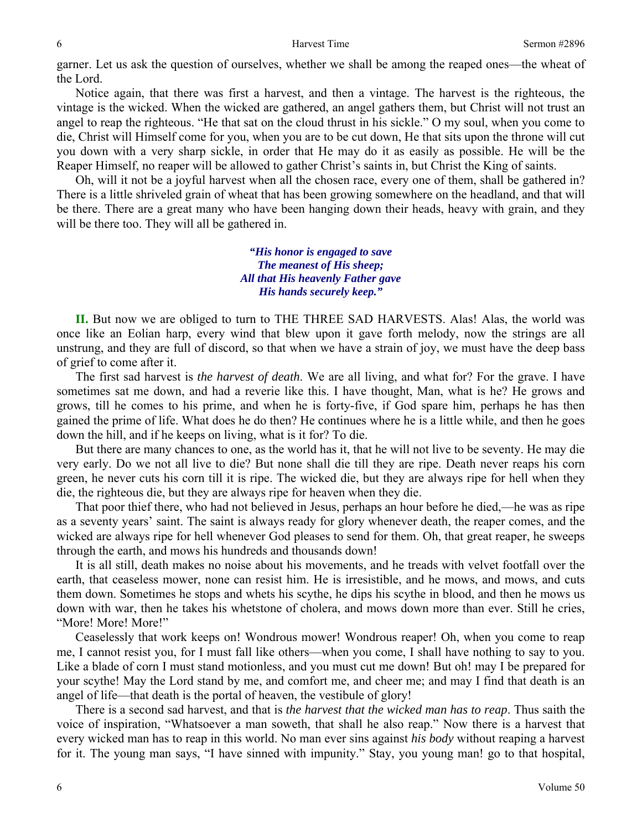garner. Let us ask the question of ourselves, whether we shall be among the reaped ones—the wheat of the Lord.

Notice again, that there was first a harvest, and then a vintage. The harvest is the righteous, the vintage is the wicked. When the wicked are gathered, an angel gathers them, but Christ will not trust an angel to reap the righteous. "He that sat on the cloud thrust in his sickle." O my soul, when you come to die, Christ will Himself come for you, when you are to be cut down, He that sits upon the throne will cut you down with a very sharp sickle, in order that He may do it as easily as possible. He will be the Reaper Himself, no reaper will be allowed to gather Christ's saints in, but Christ the King of saints.

Oh, will it not be a joyful harvest when all the chosen race, every one of them, shall be gathered in? There is a little shriveled grain of wheat that has been growing somewhere on the headland, and that will be there. There are a great many who have been hanging down their heads, heavy with grain, and they will be there too. They will all be gathered in.

> *"His honor is engaged to save The meanest of His sheep; All that His heavenly Father gave His hands securely keep."*

**II.** But now we are obliged to turn to THE THREE SAD HARVESTS. Alas! Alas, the world was once like an Eolian harp, every wind that blew upon it gave forth melody, now the strings are all unstrung, and they are full of discord, so that when we have a strain of joy, we must have the deep bass of grief to come after it.

The first sad harvest is *the harvest of death*. We are all living, and what for? For the grave. I have sometimes sat me down, and had a reverie like this. I have thought, Man, what is he? He grows and grows, till he comes to his prime, and when he is forty-five, if God spare him, perhaps he has then gained the prime of life. What does he do then? He continues where he is a little while, and then he goes down the hill, and if he keeps on living, what is it for? To die.

But there are many chances to one, as the world has it, that he will not live to be seventy. He may die very early. Do we not all live to die? But none shall die till they are ripe. Death never reaps his corn green, he never cuts his corn till it is ripe. The wicked die, but they are always ripe for hell when they die, the righteous die, but they are always ripe for heaven when they die.

That poor thief there, who had not believed in Jesus, perhaps an hour before he died,—he was as ripe as a seventy years' saint. The saint is always ready for glory whenever death, the reaper comes, and the wicked are always ripe for hell whenever God pleases to send for them. Oh, that great reaper, he sweeps through the earth, and mows his hundreds and thousands down!

It is all still, death makes no noise about his movements, and he treads with velvet footfall over the earth, that ceaseless mower, none can resist him. He is irresistible, and he mows, and mows, and cuts them down. Sometimes he stops and whets his scythe, he dips his scythe in blood, and then he mows us down with war, then he takes his whetstone of cholera, and mows down more than ever. Still he cries, "More! More! More!"

Ceaselessly that work keeps on! Wondrous mower! Wondrous reaper! Oh, when you come to reap me, I cannot resist you, for I must fall like others—when you come, I shall have nothing to say to you. Like a blade of corn I must stand motionless, and you must cut me down! But oh! may I be prepared for your scythe! May the Lord stand by me, and comfort me, and cheer me; and may I find that death is an angel of life—that death is the portal of heaven, the vestibule of glory!

There is a second sad harvest, and that is *the harvest that the wicked man has to reap*. Thus saith the voice of inspiration, "Whatsoever a man soweth, that shall he also reap." Now there is a harvest that every wicked man has to reap in this world. No man ever sins against *his body* without reaping a harvest for it. The young man says, "I have sinned with impunity." Stay, you young man! go to that hospital,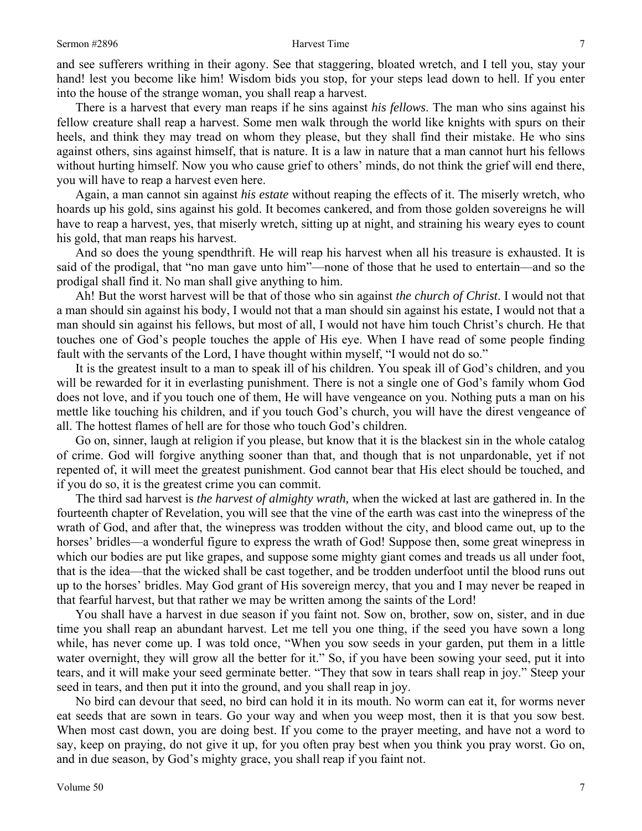and see sufferers writhing in their agony. See that staggering, bloated wretch, and I tell you, stay your hand! lest you become like him! Wisdom bids you stop, for your steps lead down to hell. If you enter into the house of the strange woman, you shall reap a harvest.

There is a harvest that every man reaps if he sins against *his fellows*. The man who sins against his fellow creature shall reap a harvest. Some men walk through the world like knights with spurs on their heels, and think they may tread on whom they please, but they shall find their mistake. He who sins against others, sins against himself, that is nature. It is a law in nature that a man cannot hurt his fellows without hurting himself. Now you who cause grief to others' minds, do not think the grief will end there, you will have to reap a harvest even here.

Again, a man cannot sin against *his estate* without reaping the effects of it. The miserly wretch, who hoards up his gold, sins against his gold. It becomes cankered, and from those golden sovereigns he will have to reap a harvest, yes, that miserly wretch, sitting up at night, and straining his weary eyes to count his gold, that man reaps his harvest.

And so does the young spendthrift. He will reap his harvest when all his treasure is exhausted. It is said of the prodigal, that "no man gave unto him"—none of those that he used to entertain—and so the prodigal shall find it. No man shall give anything to him.

Ah! But the worst harvest will be that of those who sin against *the church of Christ*. I would not that a man should sin against his body, I would not that a man should sin against his estate, I would not that a man should sin against his fellows, but most of all, I would not have him touch Christ's church. He that touches one of God's people touches the apple of His eye. When I have read of some people finding fault with the servants of the Lord, I have thought within myself, "I would not do so."

It is the greatest insult to a man to speak ill of his children. You speak ill of God's children, and you will be rewarded for it in everlasting punishment. There is not a single one of God's family whom God does not love, and if you touch one of them, He will have vengeance on you. Nothing puts a man on his mettle like touching his children, and if you touch God's church, you will have the direst vengeance of all. The hottest flames of hell are for those who touch God's children.

Go on, sinner, laugh at religion if you please, but know that it is the blackest sin in the whole catalog of crime. God will forgive anything sooner than that, and though that is not unpardonable, yet if not repented of, it will meet the greatest punishment. God cannot bear that His elect should be touched, and if you do so, it is the greatest crime you can commit.

The third sad harvest is *the harvest of almighty wrath,* when the wicked at last are gathered in. In the fourteenth chapter of Revelation, you will see that the vine of the earth was cast into the winepress of the wrath of God, and after that, the winepress was trodden without the city, and blood came out, up to the horses' bridles—a wonderful figure to express the wrath of God! Suppose then, some great winepress in which our bodies are put like grapes, and suppose some mighty giant comes and treads us all under foot, that is the idea—that the wicked shall be cast together, and be trodden underfoot until the blood runs out up to the horses' bridles. May God grant of His sovereign mercy, that you and I may never be reaped in that fearful harvest, but that rather we may be written among the saints of the Lord!

You shall have a harvest in due season if you faint not. Sow on, brother, sow on, sister, and in due time you shall reap an abundant harvest. Let me tell you one thing, if the seed you have sown a long while, has never come up. I was told once, "When you sow seeds in your garden, put them in a little water overnight, they will grow all the better for it." So, if you have been sowing your seed, put it into tears, and it will make your seed germinate better. "They that sow in tears shall reap in joy." Steep your seed in tears, and then put it into the ground, and you shall reap in joy.

No bird can devour that seed, no bird can hold it in its mouth. No worm can eat it, for worms never eat seeds that are sown in tears. Go your way and when you weep most, then it is that you sow best. When most cast down, you are doing best. If you come to the prayer meeting, and have not a word to say, keep on praying, do not give it up, for you often pray best when you think you pray worst. Go on, and in due season, by God's mighty grace, you shall reap if you faint not.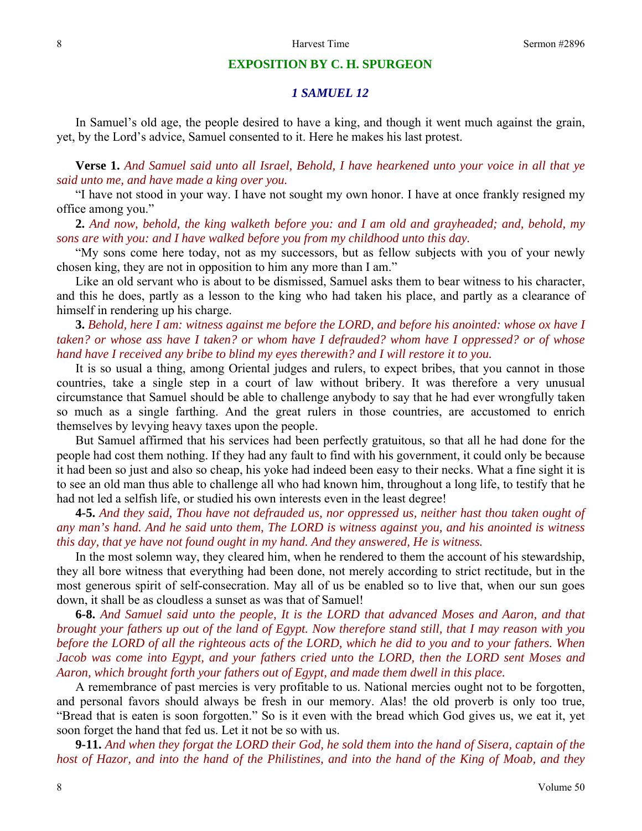### **EXPOSITION BY C. H. SPURGEON**

### *1 SAMUEL 12*

In Samuel's old age, the people desired to have a king, and though it went much against the grain, yet, by the Lord's advice, Samuel consented to it. Here he makes his last protest.

**Verse 1.** *And Samuel said unto all Israel, Behold, I have hearkened unto your voice in all that ye said unto me, and have made a king over you.* 

"I have not stood in your way. I have not sought my own honor. I have at once frankly resigned my office among you."

**2.** *And now, behold, the king walketh before you: and I am old and grayheaded; and, behold, my sons are with you: and I have walked before you from my childhood unto this day.* 

"My sons come here today, not as my successors, but as fellow subjects with you of your newly chosen king, they are not in opposition to him any more than I am."

Like an old servant who is about to be dismissed, Samuel asks them to bear witness to his character, and this he does, partly as a lesson to the king who had taken his place, and partly as a clearance of himself in rendering up his charge.

**3.** *Behold, here I am: witness against me before the LORD, and before his anointed: whose ox have I taken? or whose ass have I taken? or whom have I defrauded? whom have I oppressed? or of whose hand have I received any bribe to blind my eyes therewith? and I will restore it to you.* 

It is so usual a thing, among Oriental judges and rulers, to expect bribes, that you cannot in those countries, take a single step in a court of law without bribery. It was therefore a very unusual circumstance that Samuel should be able to challenge anybody to say that he had ever wrongfully taken so much as a single farthing. And the great rulers in those countries, are accustomed to enrich themselves by levying heavy taxes upon the people.

But Samuel affirmed that his services had been perfectly gratuitous, so that all he had done for the people had cost them nothing. If they had any fault to find with his government, it could only be because it had been so just and also so cheap, his yoke had indeed been easy to their necks. What a fine sight it is to see an old man thus able to challenge all who had known him, throughout a long life, to testify that he had not led a selfish life, or studied his own interests even in the least degree!

**4-5.** *And they said, Thou have not defrauded us, nor oppressed us, neither hast thou taken ought of any man's hand. And he said unto them, The LORD is witness against you, and his anointed is witness this day, that ye have not found ought in my hand. And they answered, He is witness.* 

In the most solemn way, they cleared him, when he rendered to them the account of his stewardship, they all bore witness that everything had been done, not merely according to strict rectitude, but in the most generous spirit of self-consecration. May all of us be enabled so to live that, when our sun goes down, it shall be as cloudless a sunset as was that of Samuel!

**6-8.** *And Samuel said unto the people, It is the LORD that advanced Moses and Aaron, and that brought your fathers up out of the land of Egypt. Now therefore stand still, that I may reason with you before the LORD of all the righteous acts of the LORD, which he did to you and to your fathers. When Jacob was come into Egypt, and your fathers cried unto the LORD, then the LORD sent Moses and Aaron, which brought forth your fathers out of Egypt, and made them dwell in this place.* 

A remembrance of past mercies is very profitable to us. National mercies ought not to be forgotten, and personal favors should always be fresh in our memory. Alas! the old proverb is only too true, "Bread that is eaten is soon forgotten." So is it even with the bread which God gives us, we eat it, yet soon forget the hand that fed us. Let it not be so with us.

**9-11.** *And when they forgat the LORD their God, he sold them into the hand of Sisera, captain of the host of Hazor, and into the hand of the Philistines, and into the hand of the King of Moab, and they*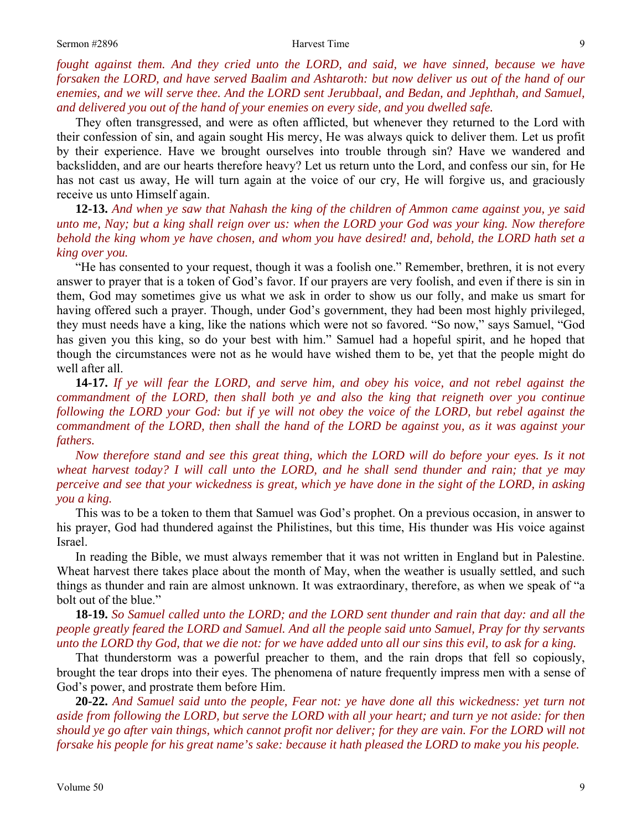*fought against them. And they cried unto the LORD, and said, we have sinned, because we have forsaken the LORD, and have served Baalim and Ashtaroth: but now deliver us out of the hand of our enemies, and we will serve thee. And the LORD sent Jerubbaal, and Bedan, and Jephthah, and Samuel, and delivered you out of the hand of your enemies on every side, and you dwelled safe.* 

They often transgressed, and were as often afflicted, but whenever they returned to the Lord with their confession of sin, and again sought His mercy, He was always quick to deliver them. Let us profit by their experience. Have we brought ourselves into trouble through sin? Have we wandered and backslidden, and are our hearts therefore heavy? Let us return unto the Lord, and confess our sin, for He has not cast us away, He will turn again at the voice of our cry, He will forgive us, and graciously receive us unto Himself again.

**12-13.** *And when ye saw that Nahash the king of the children of Ammon came against you, ye said unto me, Nay; but a king shall reign over us: when the LORD your God was your king. Now therefore behold the king whom ye have chosen, and whom you have desired! and, behold, the LORD hath set a king over you.* 

"He has consented to your request, though it was a foolish one." Remember, brethren, it is not every answer to prayer that is a token of God's favor. If our prayers are very foolish, and even if there is sin in them, God may sometimes give us what we ask in order to show us our folly, and make us smart for having offered such a prayer. Though, under God's government, they had been most highly privileged, they must needs have a king, like the nations which were not so favored. "So now," says Samuel, "God has given you this king, so do your best with him." Samuel had a hopeful spirit, and he hoped that though the circumstances were not as he would have wished them to be, yet that the people might do well after all.

**14-17.** *If ye will fear the LORD, and serve him, and obey his voice, and not rebel against the commandment of the LORD, then shall both ye and also the king that reigneth over you continue following the LORD your God: but if ye will not obey the voice of the LORD, but rebel against the commandment of the LORD, then shall the hand of the LORD be against you, as it was against your fathers.* 

*Now therefore stand and see this great thing, which the LORD will do before your eyes. Is it not wheat harvest today? I will call unto the LORD, and he shall send thunder and rain; that ye may perceive and see that your wickedness is great, which ye have done in the sight of the LORD, in asking you a king.* 

This was to be a token to them that Samuel was God's prophet. On a previous occasion, in answer to his prayer, God had thundered against the Philistines, but this time, His thunder was His voice against Israel.

In reading the Bible, we must always remember that it was not written in England but in Palestine. Wheat harvest there takes place about the month of May, when the weather is usually settled, and such things as thunder and rain are almost unknown. It was extraordinary, therefore, as when we speak of "a bolt out of the blue."

**18-19.** *So Samuel called unto the LORD; and the LORD sent thunder and rain that day: and all the people greatly feared the LORD and Samuel. And all the people said unto Samuel, Pray for thy servants unto the LORD thy God, that we die not: for we have added unto all our sins this evil, to ask for a king.* 

That thunderstorm was a powerful preacher to them, and the rain drops that fell so copiously, brought the tear drops into their eyes. The phenomena of nature frequently impress men with a sense of God's power, and prostrate them before Him.

**20-22.** *And Samuel said unto the people, Fear not: ye have done all this wickedness: yet turn not aside from following the LORD, but serve the LORD with all your heart; and turn ye not aside: for then should ye go after vain things, which cannot profit nor deliver; for they are vain. For the LORD will not forsake his people for his great name's sake: because it hath pleased the LORD to make you his people.*